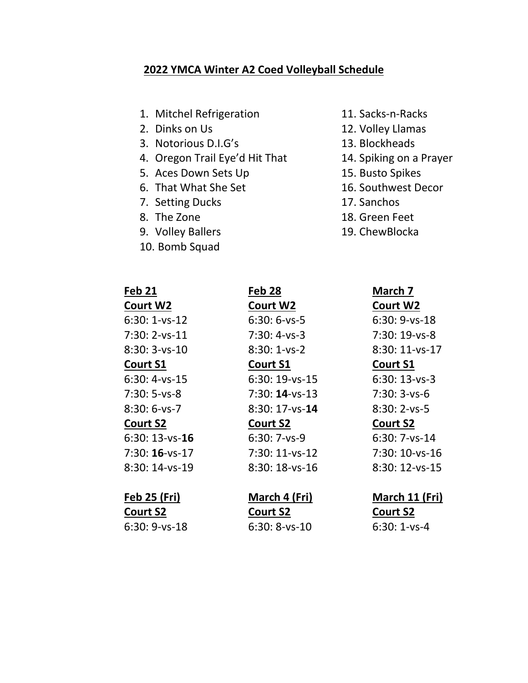### **2022 YMCA Winter A2 Coed Volleyball Schedule**

- 1. Mitchel Refrigeration 11. Sacks-n-Racks
- 
- 3. Notorious D.I.G's 13. Blockheads
- 4. Oregon Trail Eye'd Hit That 14. Spiking on a Prayer
- 5. Aces Down Sets Up 15. Busto Spikes
- 6. That What She Set 16. Southwest Decor
- 7. Setting Ducks 17. Sanchos
- 
- 9. Volley Ballers 19. ChewBlocka
- 10. Bomb Squad
- 

**Court W2 Court W2 Court W2** 6:30: 1-vs-12 6:30: 6-vs-5 6:30: 9-vs-18 7:30: 2-vs-11 7:30: 4-vs-3 7:30: 19-vs-8 8:30: 3-vs-10 8:30: 1-vs-2 8:30: 11-vs-17 **Court S1 Court S1 Court S1** 6:30: 4-vs-15 6:30: 19-vs-15 6:30: 13-vs-3 7:30: 5-vs-8 7:30: **14**-vs-13 7:30: 3-vs-6 8:30: 6-vs-7 8:30: 17-vs-**14** 8:30: 2-vs-5 **Court S2 Court S2 Court S2** 6:30: 13-vs-**16** 6:30: 7-vs-9 6:30: 7-vs-14

8:30: 14-ys-19 8:30: 18-ys-16 8:30: 12-ys-15

**Court S2 Court S2 Court S2**

6:30: 9-vs-18 6:30: 8-vs-10 6:30: 1-vs-4

- 
- 2. Dinks on Us 12. Volley Llamas
	-
	-
	-
	-
	-
- 8. The Zone 18. Green Feet
	-

# **Feb 21 Feb 28 March 7**

7:30: **16**-vs-17 7:30: 11-vs-12 7:30: 10-vs-16

# **Feb 25 (Fri) March 4 (Fri) March 11 (Fri)**